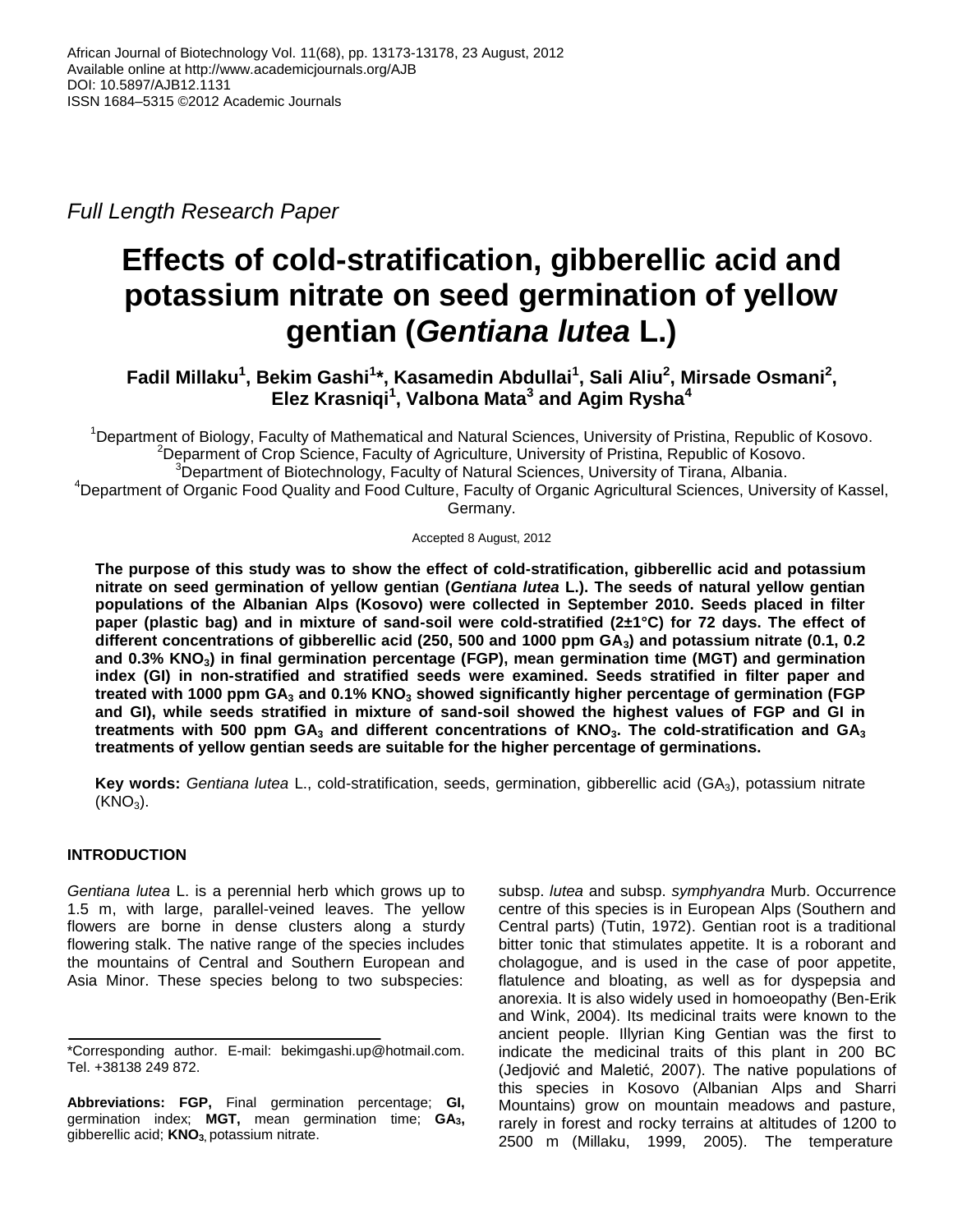*Full Length Research Paper*

# **Effects of cold-stratification, gibberellic acid and potassium nitrate on seed germination of yellow gentian (***Gentiana lutea* **L.)**

**Fadil Millaku<sup>1</sup> , Bekim Gashi<sup>1</sup> \*, Kasamedin Abdullai<sup>1</sup> , Sali Aliu<sup>2</sup> , Mirsade Osmani<sup>2</sup> , Elez Krasniqi<sup>1</sup> , Valbona Mata<sup>3</sup> and Agim Rysha<sup>4</sup>**

<sup>1</sup>Department of Biology, Faculty of Mathematical and Natural Sciences, University of Pristina, Republic of Kosovo. <sup>2</sup>Deparment of Crop Science, Faculty of Agriculture, University of Pristina, Republic of Kosovo.  $3$ Department of Biotechnology, Faculty of Natural Sciences, University of Tirana, Albania. <sup>4</sup>Department of Organic Food Quality and Food Culture, Faculty of Organic Agricultural Sciences, University of Kassel,

Germany.

Accepted 8 August, 2012

**The purpose of this study was to show the effect of cold-stratification, gibberellic acid and potassium nitrate on seed germination of yellow gentian (***Gentiana lutea* **L.). The seeds of natural yellow gentian populations of the Albanian Alps (Kosovo) were collected in September 2010. Seeds placed in filter paper (plastic bag) and in mixture of sand-soil were cold-stratified (2±1°C) for 72 days. The effect of different concentrations of gibberellic acid (250, 500 and 1000 ppm GA3) and potassium nitrate (0.1, 0.2 and 0.3% KNO3) in final germination percentage (FGP), mean germination time (MGT) and germination index (GI) in non-stratified and stratified seeds were examined. Seeds stratified in filter paper and treated with 1000 ppm GA<sup>3</sup> and 0.1% KNO<sup>3</sup> showed significantly higher percentage of germination (FGP and GI), while seeds stratified in mixture of sand-soil showed the highest values of FGP and GI in treatments with 500 ppm GA<sup>3</sup> and different concentrations of KNO3. The cold-stratification and GA<sup>3</sup> treatments of yellow gentian seeds are suitable for the higher percentage of germinations.**

**Key words:** *Gentiana lutea* L., cold-stratification, seeds, germination, gibberellic acid (GA3), potassium nitrate  $(KNO<sub>3</sub>)$ .

# **INTRODUCTION**

*Gentiana lutea* L. is a perennial herb which grows up to 1.5 m, with large, parallel-veined leaves. The yellow flowers are borne in dense clusters along a sturdy flowering stalk. The native range of the species includes the mountains of Central and Southern European and Asia Minor. These species belong to two subspecies:

subsp. *lutea* and subsp. *symphyandra* Murb. Occurrence centre of this species is in European Alps (Southern and Central parts) (Tutin, 1972). Gentian root is a traditional bitter tonic that stimulates appetite. It is a roborant and cholagogue, and is used in the case of poor appetite, flatulence and bloating, as well as for dyspepsia and anorexia. It is also widely used in homoeopathy (Ben-Erik and Wink, 2004). Its medicinal traits were known to the ancient people. Illyrian King Gentian was the first to indicate the medicinal traits of this plant in 200 BC (Jedjović and Maletić, 2007). The native populations of this species in Kosovo (Albanian Alps and Sharri Mountains) grow on mountain meadows and pasture, rarely in forest and rocky terrains at altitudes of 1200 to 2500 m (Millaku, 1999, 2005). The temperature

<sup>\*</sup>Corresponding author. E-mail: bekimgashi.up@hotmail.com. Tel. +38138 249 872.

**Abbreviations: FGP,** Final germination percentage; **GI,** germination index; **MGT,** mean germination time; **GA3,** gibberellic acid; **KNO3,** potassium nitrate.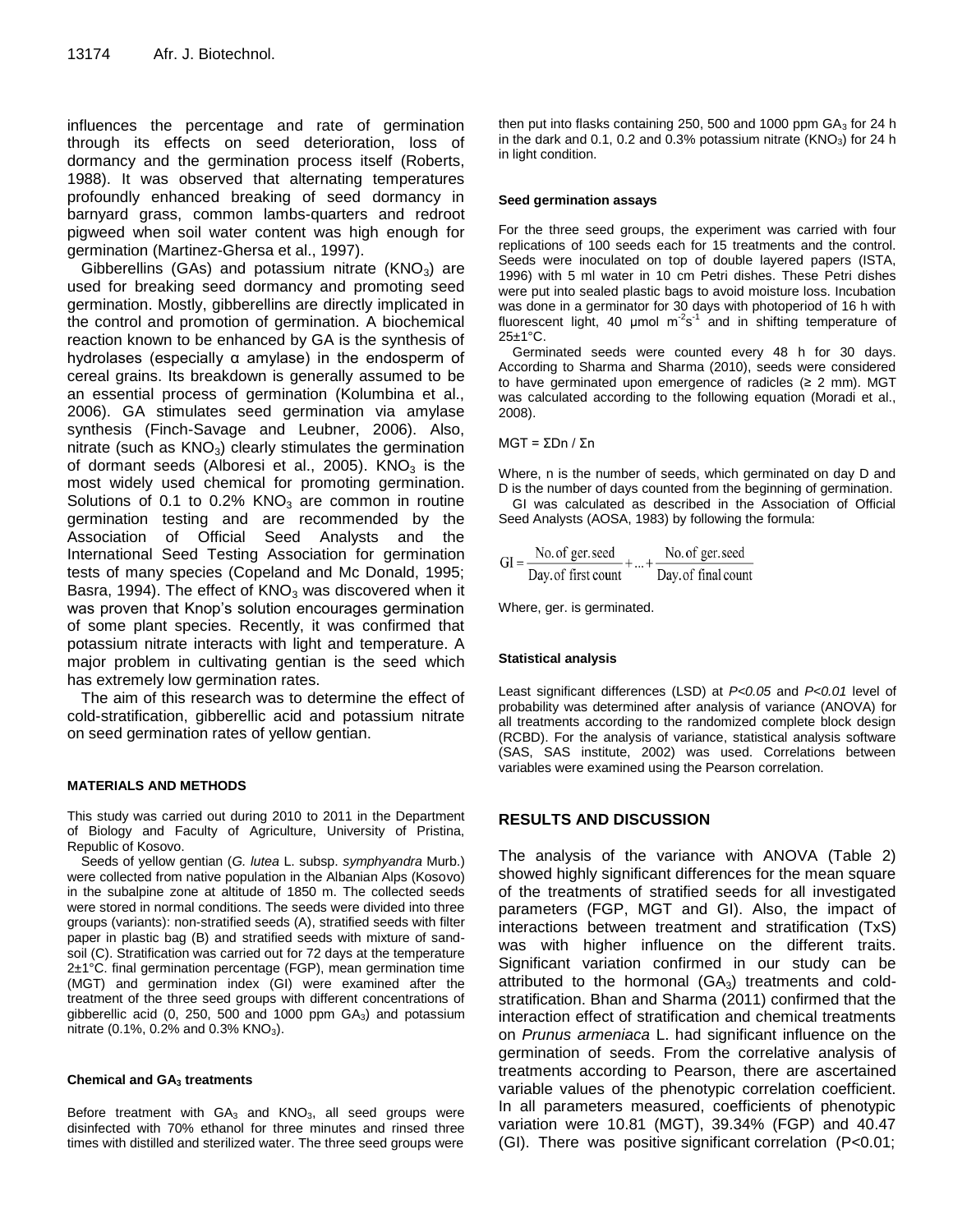influences the percentage and rate of germination through its effects on seed deterioration, loss of dormancy and the germination process itself (Roberts, 1988). It was observed that alternating temperatures profoundly enhanced breaking of seed dormancy in barnyard grass, common lambs-quarters and redroot pigweed when soil water content was high enough for germination (Martinez-Ghersa et al., 1997).

Gibberellins (GAs) and potassium nitrate ( $KNO<sub>3</sub>$ ) are used for breaking seed dormancy and promoting seed germination. Mostly, gibberellins are directly implicated in the control and promotion of germination. A biochemical reaction known to be enhanced by GA is the synthesis of hydrolases (especially α amylase) in the endosperm of cereal grains. Its breakdown is generally assumed to be an essential process of germination (Kolumbina et al., 2006). GA stimulates seed germination via amylase synthesis (Finch-Savage and Leubner, 2006). Also, nitrate (such as  $KNO<sub>3</sub>$ ) clearly stimulates the germination of dormant seeds (Alboresi et al., 2005).  $KNO<sub>3</sub>$  is the most widely used chemical for promoting germination. Solutions of 0.1 to 0.2%  $KNO<sub>3</sub>$  are common in routine germination testing and are recommended by the Association of Official Seed Analysts and the International Seed Testing Association for germination tests of many species (Copeland and Mc Donald, 1995; Basra, 1994). The effect of  $KNO<sub>3</sub>$  was discovered when it was proven that Knop's solution encourages germination of some plant species. Recently, it was confirmed that potassium nitrate interacts with light and temperature. A major problem in cultivating gentian is the seed which has extremely low germination rates.

The aim of this research was to determine the effect of cold-stratification, gibberellic acid and potassium nitrate on seed germination rates of yellow gentian.

#### **MATERIALS AND METHODS**

This study was carried out during 2010 to 2011 in the Department of Biology and Faculty of Agriculture, University of Pristina, Republic of Kosovo.

Seeds of yellow gentian (*G. lutea* L. subsp. *symphyandra* Murb.) were collected from native population in the Albanian Alps (Kosovo) in the subalpine zone at altitude of 1850 m. The collected seeds were stored in normal conditions. The seeds were divided into three groups (variants): non-stratified seeds (A), stratified seeds with filter paper in plastic bag (B) and stratified seeds with mixture of sandsoil (C). Stratification was carried out for 72 days at the temperature 2±1°C. final germination percentage (FGP), mean germination time (MGT) and germination index (GI) were examined after the treatment of the three seed groups with different concentrations of gibberellic acid  $(0, 250, 500, 1000)$  ppm  $GA<sub>3</sub>$  and potassium nitrate  $(0.1\%, 0.2\% \text{ and } 0.3\% \text{ KNO}_3)$ .

#### **Chemical and GA<sup>3</sup> treatments**

Before treatment with  $GA_3$  and  $KNO_3$ , all seed groups were disinfected with 70% ethanol for three minutes and rinsed three times with distilled and sterilized water. The three seed groups were

then put into flasks containing 250, 500 and 1000 ppm  $GA<sub>3</sub>$  for 24 h in the dark and 0.1, 0.2 and 0.3% potassium nitrate  $(KNO<sub>3</sub>)$  for 24 h in light condition.

#### **Seed germination assays**

For the three seed groups, the experiment was carried with four replications of 100 seeds each for 15 treatments and the control. Seeds were inoculated on top of double layered papers (ISTA, 1996) with 5 ml water in 10 cm Petri dishes. These Petri dishes were put into sealed plastic bags to avoid moisture loss. Incubation was done in a germinator for 30 days with photoperiod of 16 h with fluorescent light, 40  $\mu$ mol m<sup>-2</sup>s<sup>-1</sup> and in shifting temperature of 25±1°C.

Germinated seeds were counted every 48 h for 30 days. According to Sharma and Sharma (2010), seeds were considered to have germinated upon emergence of radicles (≥ 2 mm). MGT was calculated according to the following equation (Moradi et al., 2008).

MGT = ΣDn / Σn

Where, n is the number of seeds, which germinated on day D and D is the number of days counted from the beginning of germination.

GI was calculated as described in the Association of Official Seed Analysts (AOSA, 1983) by following the formula:

$$
GI = \frac{No. of ger. seed}{Day. of first count} + ... + \frac{No. of ger. seed}{Day. of final count}
$$

Where, ger. is germinated.

#### **Statistical analysis**

Least significant differences (LSD) at *P<0.05* and *P<0.01* level of probability was determined after analysis of variance (ANOVA) for all treatments according to the randomized complete block design (RCBD). For the analysis of variance, statistical analysis software (SAS, SAS institute, 2002) was used. Correlations between variables were examined using the Pearson correlation.

#### **RESULTS AND DISCUSSION**

The analysis of the variance with ANOVA (Table 2) showed highly significant differences for the mean square of the treatments of stratified seeds for all investigated parameters (FGP, MGT and GI). Also, the impact of interactions between treatment and stratification (TxS) was with higher influence on the different traits. Significant variation confirmed in our study can be attributed to the hormonal  $(GA_3)$  treatments and coldstratification. Bhan and Sharma (2011) confirmed that the interaction effect of stratification and chemical treatments on *Prunus armeniaca* L. had significant influence on the germination of seeds. From the correlative analysis of treatments according to Pearson, there are ascertained variable values of the phenotypic correlation coefficient. In all parameters measured, coefficients of phenotypic variation were 10.81 (MGT), 39.34% (FGP) and 40.47 (GI). There was positive significant correlation (P<0.01;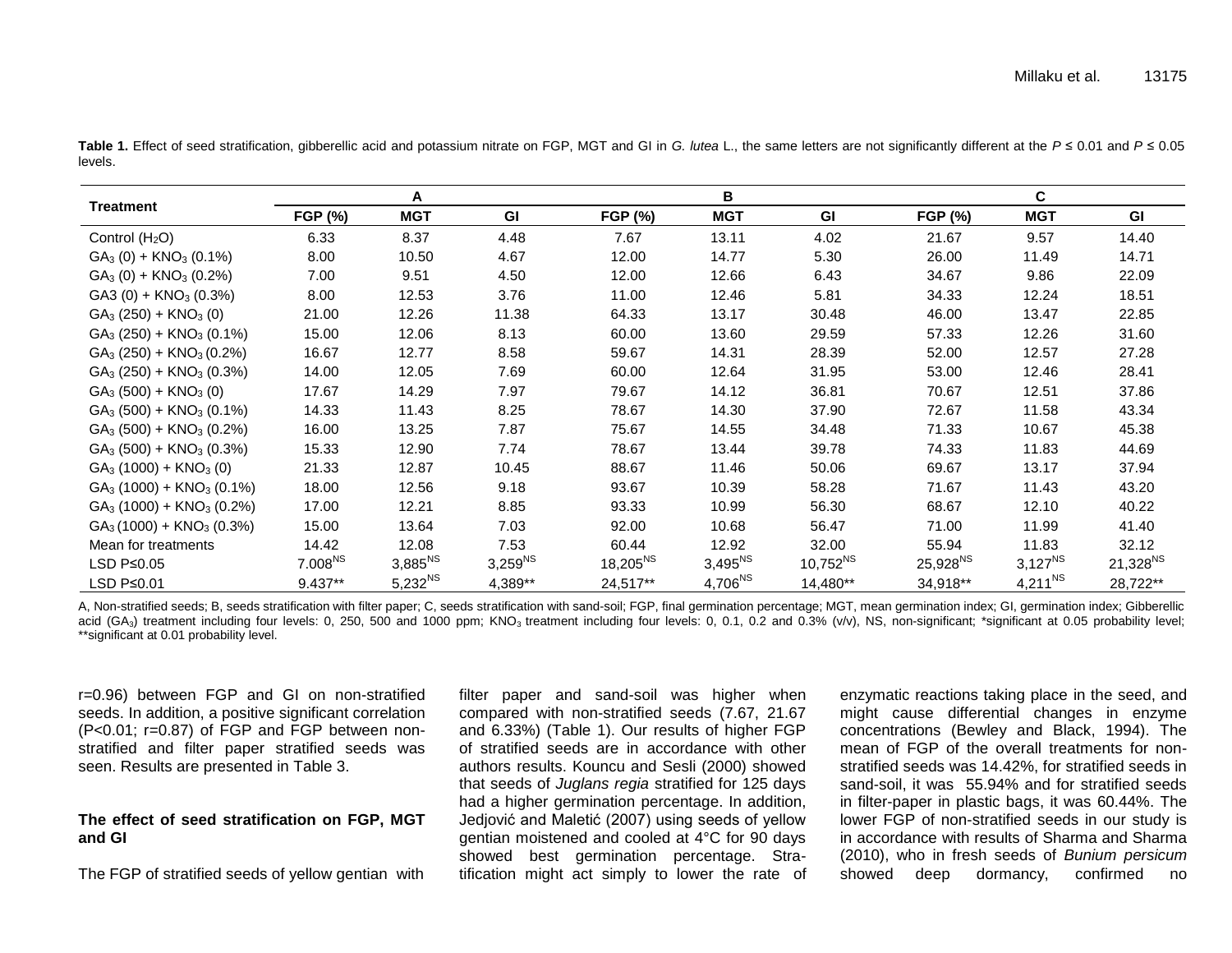| <b>Treatment</b>                      | A                   |              |              |                | в            |               |                      | C            |               |  |  |
|---------------------------------------|---------------------|--------------|--------------|----------------|--------------|---------------|----------------------|--------------|---------------|--|--|
|                                       | <b>FGP (%)</b>      | <b>MGT</b>   | GI           | <b>FGP (%)</b> | <b>MGT</b>   | GI            | <b>FGP (%)</b>       | <b>MGT</b>   | GI            |  |  |
| Control $(H2O)$                       | 6.33                | 8.37         | 4.48         | 7.67           | 13.11        | 4.02          | 21.67                | 9.57         | 14.40         |  |  |
| $GA3 (0) + KNO3 (0.1%)$               | 8.00                | 10.50        | 4.67         | 12.00          | 14.77        | 5.30          | 26.00                | 11.49        | 14.71         |  |  |
| $GA_3(0) + KNO_3(0.2%)$               | 7.00                | 9.51         | 4.50         | 12.00          | 12.66        | 6.43          | 34.67                | 9.86         | 22.09         |  |  |
| GA3 (0) + $KNO3$ (0.3%)               | 8.00                | 12.53        | 3.76         | 11.00          | 12.46        | 5.81          | 34.33                | 12.24        | 18.51         |  |  |
| $GA_3(250) + KNO_3(0)$                | 21.00               | 12.26        | 11.38        | 64.33          | 13.17        | 30.48         | 46.00                | 13.47        | 22.85         |  |  |
| $GA3$ (250) + KNO <sub>3</sub> (0.1%) | 15.00               | 12.06        | 8.13         | 60.00          | 13.60        | 29.59         | 57.33                | 12.26        | 31.60         |  |  |
| $GA_3(250) + KNO_3(0.2%)$             | 16.67               | 12.77        | 8.58         | 59.67          | 14.31        | 28.39         | 52.00                | 12.57        | 27.28         |  |  |
| $GA_3(250) + KNO_3(0.3%)$             | 14.00               | 12.05        | 7.69         | 60.00          | 12.64        | 31.95         | 53.00                | 12.46        | 28.41         |  |  |
| $GA_3(500) + KNO_3(0)$                | 17.67               | 14.29        | 7.97         | 79.67          | 14.12        | 36.81         | 70.67                | 12.51        | 37.86         |  |  |
| $GA_3(500) + KNO_3(0.1%)$             | 14.33               | 11.43        | 8.25         | 78.67          | 14.30        | 37.90         | 72.67                | 11.58        | 43.34         |  |  |
| $GA_3(500) + KNO_3(0.2%)$             | 16.00               | 13.25        | 7.87         | 75.67          | 14.55        | 34.48         | 71.33                | 10.67        | 45.38         |  |  |
| $GA_3(500) + KNO_3(0.3%)$             | 15.33               | 12.90        | 7.74         | 78.67          | 13.44        | 39.78         | 74.33                | 11.83        | 44.69         |  |  |
| $GA_3(1000) + KNO_3(0)$               | 21.33               | 12.87        | 10.45        | 88.67          | 11.46        | 50.06         | 69.67                | 13.17        | 37.94         |  |  |
| $GA_3(1000) + KNO_3(0.1%)$            | 18.00               | 12.56        | 9.18         | 93.67          | 10.39        | 58.28         | 71.67                | 11.43        | 43.20         |  |  |
| $GA_3(1000) + KNO_3(0.2%)$            | 17.00               | 12.21        | 8.85         | 93.33          | 10.99        | 56.30         | 68.67                | 12.10        | 40.22         |  |  |
| $GA_3(1000) + KNO_3(0.3%)$            | 15.00               | 13.64        | 7.03         | 92.00          | 10.68        | 56.47         | 71.00                | 11.99        | 41.40         |  |  |
| Mean for treatments                   | 14.42               | 12.08        | 7.53         | 60.44          | 12.92        | 32.00         | 55.94                | 11.83        | 32.12         |  |  |
| LSD P≤0.05                            | 7.008 <sup>NS</sup> | $3,885^{NS}$ | $3,259^{NS}$ | $18,205^{NS}$  | $3,495^{NS}$ | $10,752^{NS}$ | 25,928 <sup>NS</sup> | $3,127^{NS}$ | $21,328^{NS}$ |  |  |
| LSD $P\leq 0.01$                      | $9.437**$           | $5,232^{NS}$ | 4,389**      | 24,517**       | $4,706^{NS}$ | 14,480**      | 34,918**             | $4,211^{NS}$ | 28,722**      |  |  |

**Table 1.** Effect of seed stratification, gibberellic acid and potassium nitrate on FGP, MGT and GI in *G. lutea* L., the same letters are not significantly different at the *P* ≤ 0.01 and *P* ≤ 0.05 levels.

A, Non-stratified seeds; B, seeds stratification with filter paper; C, seeds stratification with sand-soil; FGP, final germination percentage; MGT, mean germination index; GI, germination index; Gibberellic acid (GA<sub>3</sub>) treatment including four levels: 0, 250, 500 and 1000 ppm; KNO<sub>3</sub> treatment including four levels: 0, 0.1, 0.2 and 0.3% (v/v), NS, non-significant; \*significant at 0.05 probability level; \*\*significant at 0.01 probability level.

r=0.96) between FGP and GI on non-stratified seeds. In addition, a positive significant correlation (P<0.01; r=0.87) of FGP and FGP between nonstratified and filter paper stratified seeds was seen. Results are presented in Table 3.

## **The effect of seed stratification on FGP, MGT and GI**

The FGP of stratified seeds of yellow gentian with

filter paper and sand-soil was higher when compared with non-stratified seeds (7.67, 21.67 and 6.33%) (Table 1). Our results of higher FGP of stratified seeds are in accordance with other authors results. Kouncu and Sesli (2000) showed that seeds of *Juglans regia* stratified for 125 days had a higher germination percentage. In addition, Jedjović and Maletić (2007) using seeds of yellow gentian moistened and cooled at 4°C for 90 days showed best germination percentage. Stratification might act simply to lower the rate of

enzymatic reactions taking place in the seed, and might cause differential changes in enzyme concentrations (Bewley and Black, 1994). The mean of FGP of the overall treatments for nonstratified seeds was 14.42%, for stratified seeds in sand-soil, it was 55.94% and for stratified seeds in filter-paper in plastic bags, it was 60.44%. The lower FGP of non-stratified seeds in our study is in accordance with results of Sharma and Sharma (2010), who in fresh seeds of *Bunium persicum* showed deep dormancy, confirmed no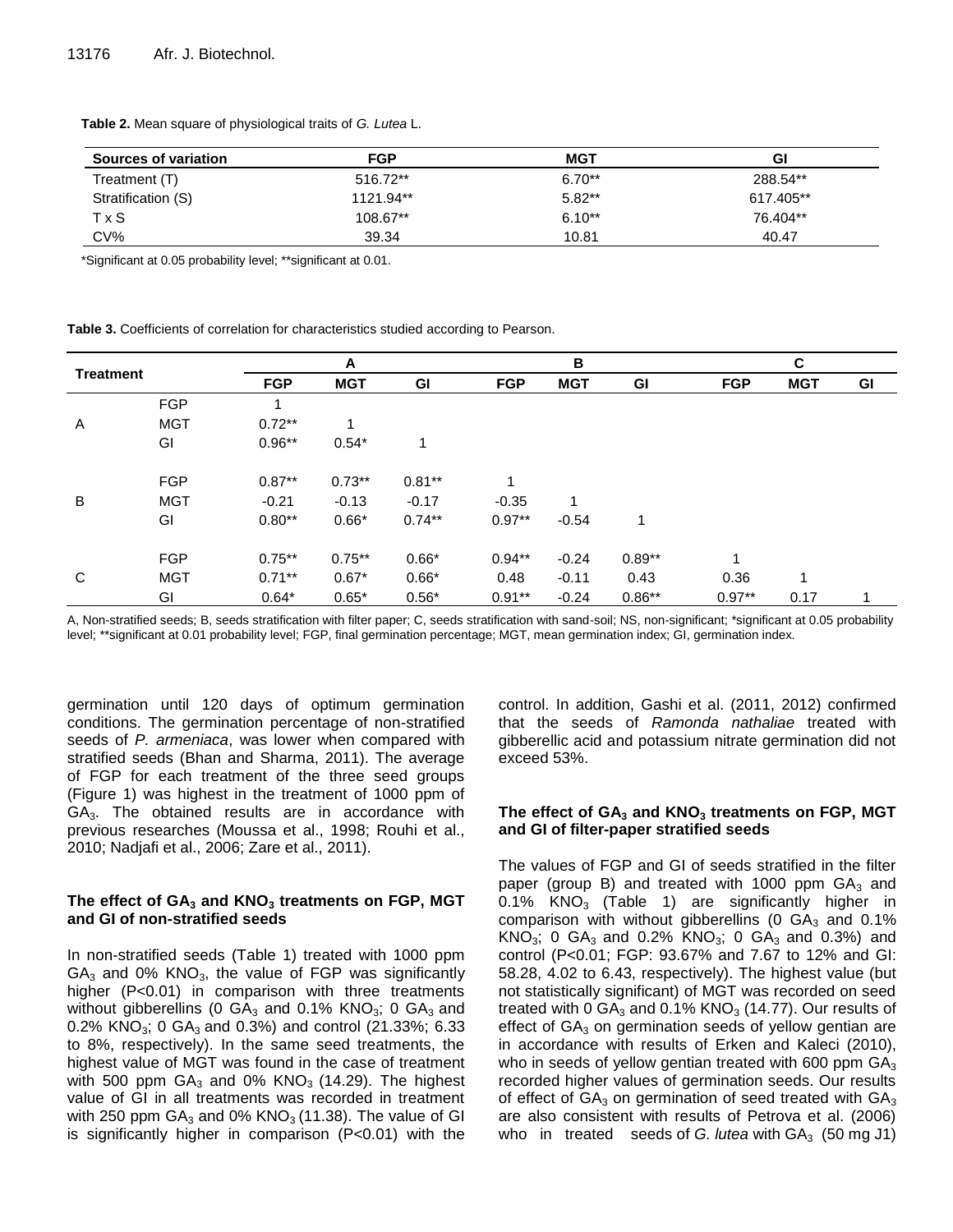| Sources of variation | <b>FGP</b> | <b>MGT</b> | Gl        |
|----------------------|------------|------------|-----------|
| Treatment (T)        | 516.72**   | $6.70**$   | 288.54**  |
| Stratification (S)   | 1121.94**  | $5.82**$   | 617.405** |
| <b>TxS</b>           | 108.67**   | $6.10**$   | 76.404**  |
| CV%                  | 39.34      | 10.81      | 40.47     |

**Table 2.** Mean square of physiological traits of *G. Lutea* L.

\*Significant at 0.05 probability level; \*\*significant at 0.01.

**Table 3.** Coefficients of correlation for characteristics studied according to Pearson.

| <b>Treatment</b> |            | A          |            |           | В          |            |          | C          |            |    |  |
|------------------|------------|------------|------------|-----------|------------|------------|----------|------------|------------|----|--|
|                  |            | <b>FGP</b> | <b>MGT</b> | GI        | <b>FGP</b> | <b>MGT</b> | GI       | <b>FGP</b> | <b>MGT</b> | GI |  |
| Α                | <b>FGP</b> |            |            |           |            |            |          |            |            |    |  |
|                  | <b>MGT</b> | $0.72**$   | 1          |           |            |            |          |            |            |    |  |
|                  | GI         | $0.96**$   | $0.54*$    | 1         |            |            |          |            |            |    |  |
| B                | <b>FGP</b> | $0.87**$   | $0.73**$   | $0.81***$ | 1          |            |          |            |            |    |  |
|                  | <b>MGT</b> | $-0.21$    | $-0.13$    | $-0.17$   | $-0.35$    |            |          |            |            |    |  |
|                  | GI         | $0.80**$   | $0.66*$    | $0.74**$  | $0.97**$   | $-0.54$    | 1        |            |            |    |  |
| С                | <b>FGP</b> | $0.75***$  | $0.75***$  | $0.66*$   | $0.94***$  | $-0.24$    | $0.89**$ | 1          |            |    |  |
|                  | <b>MGT</b> | $0.71***$  | $0.67*$    | $0.66*$   | 0.48       | $-0.11$    | 0.43     | 0.36       |            |    |  |
|                  | GI         | $0.64*$    | $0.65*$    | $0.56*$   | $0.91**$   | $-0.24$    | $0.86**$ | $0.97**$   | 0.17       | 1  |  |

A, Non-stratified seeds; B, seeds stratification with filter paper; C, seeds stratification with sand-soil; NS, non-significant; \*significant at 0.05 probability level; \*\*significant at 0.01 probability level; FGP, final germination percentage; MGT, mean germination index; GI, germination index.

germination until 120 days of optimum germination conditions. The germination percentage of non-stratified seeds of *P. armeniaca*, was lower when compared with stratified seeds (Bhan and Sharma, 2011). The average of FGP for each treatment of the three seed groups (Figure 1) was highest in the treatment of 1000 ppm of  $GA<sub>3</sub>$ . The obtained results are in accordance with previous researches (Moussa et al., 1998; Rouhi et al., 2010; Nadjafi et al., 2006; Zare et al., 2011).

## **The effect of GA<sup>3</sup> and KNO<sup>3</sup> treatments on FGP, MGT and GI of non-stratified seeds**

In non-stratified seeds (Table 1) treated with 1000 ppm  $GA<sub>3</sub>$  and 0% KNO<sub>3</sub>, the value of FGP was significantly higher (P<0.01) in comparison with three treatments without gibberellins (0  $GA_3$  and 0.1% KNO<sub>3</sub>; 0  $GA_3$  and 0.2% KNO<sub>3</sub>; 0 GA<sub>3</sub> and 0.3%) and control (21.33%; 6.33 to 8%, respectively). In the same seed treatments, the highest value of MGT was found in the case of treatment with 500 ppm  $GA_3$  and 0% KNO<sub>3</sub> (14.29). The highest value of GI in all treatments was recorded in treatment with 250 ppm  $GA_3$  and 0% KNO<sub>3</sub> (11.38). The value of GI is significantly higher in comparison (P<0.01) with the control. In addition, Gashi et al. (2011, 2012) confirmed that the seeds of *Ramonda nathaliae* treated with gibberellic acid and potassium nitrate germination did not exceed 53%.

## **The effect of GA<sup>3</sup> and KNO<sup>3</sup> treatments on FGP, MGT and GI of filter-paper stratified seeds**

The values of FGP and GI of seeds stratified in the filter paper (group B) and treated with 1000 ppm  $GA<sub>3</sub>$  and 0.1%  $KNO<sub>3</sub>$  (Table 1) are significantly higher in comparison with without gibberellins (0  $GA<sub>3</sub>$  and 0.1% KNO<sub>3</sub>; 0 GA<sub>3</sub> and 0.2% KNO<sub>3</sub>; 0 GA<sub>3</sub> and 0.3%) and control (P<0.01; FGP: 93.67% and 7.67 to 12% and GI: 58.28, 4.02 to 6.43, respectively). The highest value (but not statistically significant) of MGT was recorded on seed treated with 0 GA $_3$  and 0.1% KNO $_3$  (14.77). Our results of effect of  $GA_3$  on germination seeds of yellow gentian are in accordance with results of Erken and Kaleci (2010), who in seeds of yellow gentian treated with 600 ppm  $GA<sub>3</sub>$ recorded higher values of germination seeds. Our results of effect of  $GA_3$  on germination of seed treated with  $GA_3$ are also consistent with results of Petrova et al. (2006) who in treated seeds of *G. lutea* with GA<sub>3</sub> (50 mg J1)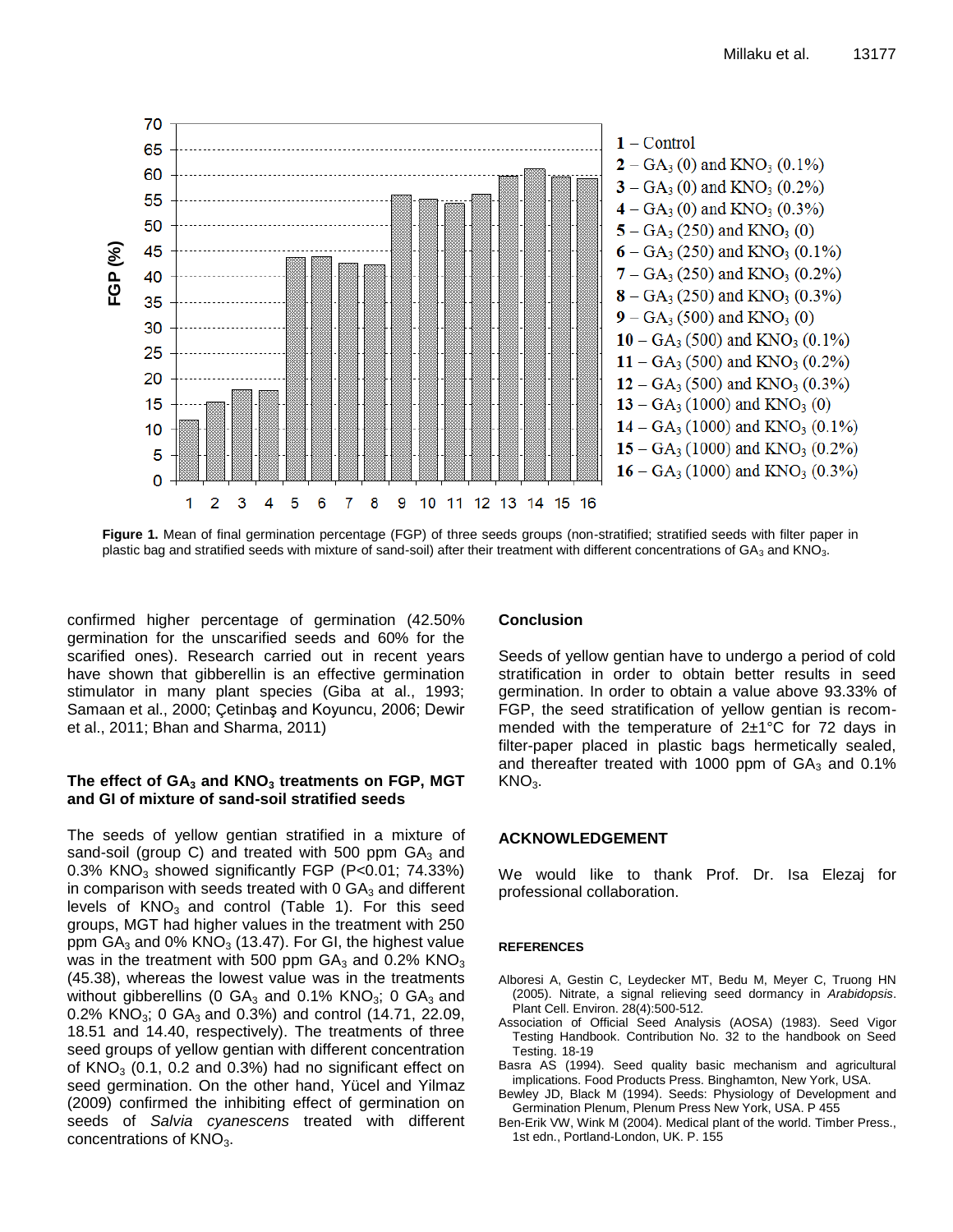

**Figure 1.** Mean of final germination percentage (FGP) of three seeds groups (non-stratified; stratified seeds with filter paper in plastic bag and stratified seeds with mixture of sand-soil) after their treatment with different concentrations of  $GA_3$  and KNO<sub>3</sub>.

confirmed higher percentage of germination (42.50% germination for the unscarified seeds and 60% for the scarified ones). Research carried out in recent years have shown that gibberellin is an effective germination stimulator in many plant species (Giba at al., 1993; Samaan et al., 2000; Çetinbaş and Koyuncu, 2006; Dewir et al., 2011; Bhan and Sharma, 2011)

## **The effect of GA<sup>3</sup> and KNO<sup>3</sup> treatments on FGP, MGT and GI of mixture of sand-soil stratified seeds**

The seeds of yellow gentian stratified in a mixture of sand-soil (group C) and treated with 500 ppm  $GA_3$  and 0.3%  $KNO<sub>3</sub>$  showed significantly FGP (P<0.01; 74.33%) in comparison with seeds treated with  $0 \text{ GA}_3$  and different levels of  $KNO<sub>3</sub>$  and control (Table 1). For this seed groups, MGT had higher values in the treatment with 250 ppm  $GA_3$  and 0%  $KNO_3$  (13.47). For GI, the highest value was in the treatment with 500 ppm  $GA_3$  and 0.2% KNO<sub>3</sub> (45.38), whereas the lowest value was in the treatments without gibberellins (0  $GA_3$  and 0.1%  $KNO_3$ ; 0  $GA_3$  and 0.2% KNO<sub>3</sub>; 0 GA<sub>3</sub> and 0.3%) and control (14.71, 22.09, 18.51 and 14.40, respectively). The treatments of three seed groups of yellow gentian with different concentration of  $KNO<sub>3</sub>$  (0.1, 0.2 and 0.3%) had no significant effect on seed germination. On the other hand, Yücel and Yilmaz (2009) confirmed the inhibiting effect of germination on seeds of *Salvia cyanescens* treated with different concentrations of  $KNO<sub>3</sub>$ .

## **Conclusion**

Seeds of yellow gentian have to undergo a period of cold stratification in order to obtain better results in seed germination. In order to obtain a value above 93.33% of FGP, the seed stratification of yellow gentian is recommended with the temperature of  $2\pm1^{\circ}C$  for 72 days in filter-paper placed in plastic bags hermetically sealed, and thereafter treated with 1000 ppm of  $GA<sub>3</sub>$  and 0.1% KNO<sub>3</sub>.

## **ACKNOWLEDGEMENT**

We would like to thank Prof. Dr. Isa Elezaj for professional collaboration.

#### **REFERENCES**

- Alboresi A, Gestin C, Leydecker MT, Bedu M, Meyer C, Truong HN (2005). Nitrate, a signal relieving seed dormancy in *Arabidopsis*. Plant Cell. Environ. 28(4):500-512.
- Association of Official Seed Analysis (AOSA) (1983). Seed Vigor Testing Handbook. Contribution No. 32 to the handbook on Seed Testing. 18-19
- Basra AS (1994). Seed quality basic mechanism and agricultural implications. Food Products Press. Binghamton, New York, USA.
- Bewley JD, Black M (1994). Seeds: Physiology of Development and Germination Plenum, Plenum Press New York, USA. P 455
- Ben-Erik VW, Wink M (2004). Medical plant of the world. Timber Press., 1st edn., Portland-London, UK. P. 155